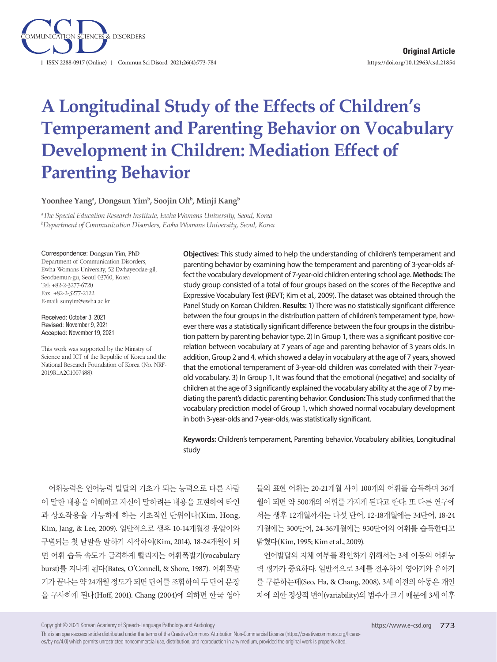

# **A Longitudinal Study of the Effects of Children's Temperament and Parenting Behavior on Vocabulary Development in Children: Mediation Effect of Parenting Behavior**

Yoonhee Yang<sup>a</sup>, Dongsun Yim<sup>b</sup>, Soojin Oh<sup>b</sup>, Minji Kang<sup>b</sup>

*a The Special Education Research Institute, Ewha Womans University, Seoul, Korea b Department of Communication Disorders, Ewha Womans University, Seoul, Korea*

#### Correspondence: Dongsun Yim, PhD

Department of Communication Disorders, Ewha Womans University, 52 Ewhayeodae-gil, Seodaemun-gu, Seoul 03760, Korea Tel: +82-2-3277-6720 Fax: +82-2-3277-2122 E-mail: sunyim@ewha.ac.kr

Received: October 3, 2021 Revised: November 9, 2021 Accepted: November 19, 2021

This work was supported by the Ministry of Science and ICT of the Republic of Korea and the National Research Foundation of Korea (No. NRF-2019R1A2C1007488).

**Objectives:** This study aimed to help the understanding of children's temperament and parenting behavior by examining how the temperament and parenting of 3-year-olds affect the vocabulary development of 7-year-old children entering school age. **Methods:** The study group consisted of a total of four groups based on the scores of the Receptive and Expressive Vocabulary Test (REVT; Kim et al., 2009). The dataset was obtained through the Panel Study on Korean Children. **Results:** 1) There was no statistically significant difference between the four groups in the distribution pattern of children's temperament type, however there was a statistically significant difference between the four groups in the distribution pattern by parenting behavior type. 2) In Group 1, there was a significant positive correlation between vocabulary at 7 years of age and parenting behavior of 3 years olds. In addition, Group 2 and 4, which showed a delay in vocabulary at the age of 7 years, showed that the emotional temperament of 3-year-old children was correlated with their 7-yearold vocabulary. 3) In Group 1, It was found that the emotional (negative) and sociality of children at the age of 3 significantly explained the vocabulary ability at the age of 7 by mediating the parent's didactic parenting behavior. **Conclusion:** This study confirmed that the vocabulary prediction model of Group 1, which showed normal vocabulary development in both 3-year-olds and 7-year-olds, was statistically significant.

**Keywords:** Children's temperament, Parenting behavior, Vocabulary abilities, Longitudinal study

어휘능력은 언어능력 발달의 기초가 되는 능력으로 다른 사람 이 말한 내용을 이해하고 자신이 말하려는 내용을 표현하여 타인 과 상호작용을 가능하게 하는 기초적인 단위이다(Kim, Hong, Kim, Jang, & Lee, 2009). 일반적으로 생후 10-14개월경 옹알이와 구별되는 첫 낱말을 말하기 시작하여(Kim, 2014), 18-24개월이 되 면 어휘 습득 속도가 급격하게 빨라지는 어휘폭발기(vocabulary burst)를 지나게 된다(Bates, O'Connell, & Shore, 1987). 어휘폭발 기가 끝나는 약 24개월 정도가 되면 단어를 조합하여 두 단어 문장 을 구사하게 된다(Hoff, 2001). Chang (2004)에 의하면 한국 영아

들의 표현 어휘는 20-21개월 사이 100개의 어휘를 습득하며 36개 월이 되면 약 500개의 어휘를 가지게 된다고 한다. 또 다른 연구에 서는 생후 12개월까지는 다섯 단어, 12-18개월에는 34단어, 18-24 개월에는 300단어, 24-36개월에는 950단어의 어휘를 습득한다고 밝혔다(Kim, 1995; Kim et al., 2009).

언어발달의 지체 여부를 확인하기 위해서는 3세 아동의 어휘능 력 평가가 중요하다. 일반적으로 3세를 전후하여 영아기와 유아기 를 구분하는데(Seo, Ha, & Chang, 2008), 3세 이전의 아동은 개인 차에 의한 정상적 변이(variability)의 범주가 크기 때문에 3세 이후

Copyright © 2021 Korean Academy of Speech-Language Pathology and Audiology

This is an open-access article distributed under the terms of the Creative Commons Attribution Non-Commercial License (https://creativecommons.org/licenses/by-nc/4.0) which permits unrestricted noncommercial use, distribution, and reproduction in any medium, provided the original work is properly cited.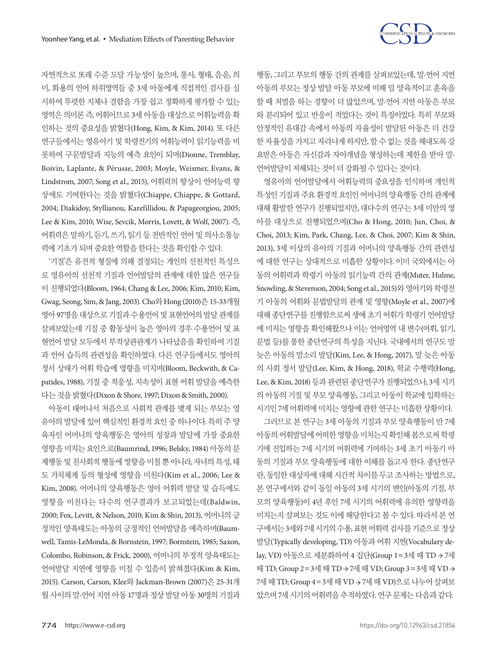

자연적으로 또래 수준 도달 가능성이 높으며, 통사, 형태, 음운, 의 미, 화용의 언어 하위영역들 중 3세 아동에게 직접적인 검사를 실 시하여 뚜렷한 지체나 결함을 가장 쉽고 정확하게 평가할 수 있는 영역은 의미론 즉, 어휘이므로 3세 아동을 대상으로 어휘능력을 확 인하는 것의 중요성을 밝혔다(Hong, Kim, & Kim, 2014). 또 다른 연구들에서는 영유아기 및 학령전기의 어휘능력이 읽기능력을 비 롯하여 구문발달과 지능의 예측 요인이 되며(Dionne, Tremblay, Boivin, Laplante, & Pérusse, 2003; Moyle, Weismer, Evans, & Lindstrom, 2007; Song et al., 2015), 어휘력의 향상이 언어능력 향 상에도 기여한다는 것을 밝혔다(Chiappe, Chiappe, & Gottard, 2004; Diakidoy, Styllianou, Karefillidou, & Papageorgiou, 2005; Lee & Kim, 2010; Wise, Sevcik, Morris, Lovett, & Wolf, 2007). 즉, 어휘력은 말하기, 듣기, 쓰기, 읽기 등 전반적인 언어 및 의사소통능 력에기초가되며중요한역할을한다는것을확인할수있다.

'기질'은 유전적 형질에 의해 결정되는 개인의 선천적인 특성으 로 영유아의 선천적 기질과 언어발달의 관계에 대한 많은 연구들 이 진행되었다(Bloom, 1964; Chang & Lee, 2006; Kim, 2010; Kim, Gwag, Seong, Sim, & Jang, 2003). Cho와 Hong (2010)은 15-33개월 영아 97명을 대상으로 기질과 수용언어 및 표현언어의 발달 관계를 살펴보았는데 기질 중 활동성이 높은 영아의 경우 수용언어 및 표 현언어 발달 모두에서 부적상관관계가 나타났음을 확인하여 기질 과 언어 습득의 관련성을 확인하였다. 다른 연구들에서도 영아의 정서 상태가 어휘 학습에 영향을 미치며(Bloom, Beckwith, & Capatides, 1988), 기질 중 적응성, 지속성이 표현 어휘 발달을 예측한 다는것을밝혔다(Dixon & Shore, 1997; Dixon & Smith, 2000).

아동이 태어나서 처음으로 사회적 관계를 맺게 되는 부모는 영 유아의 발달에 있어 핵심적인 환경적 요인 중 하나이다. 특히 주 양 육자인 어머니의 양육행동은 영아의 성장과 발달에 가장 중요한 영향을 미치는 요인으로(Baumrind, 1996; Belsky, 1984) 아동의 문 제행동 및 친사회적 행동에 영향을 미칠 뿐 아니라, 자녀의 특성, 태 도 가치체계 등의 형성에 영향을 미친다(Kim et al., 2006; Lee & Kim, 2008). 어머니의 양육행동은 영아 어휘력 발달 및 습득에도 영향을 미친다는 다수의 연구결과가 보고되었는데(Baldwin, 2000; Fox, Levitt, & Nelson, 2010; Kim & Shin, 2013), 어머니의 긍 정적인 양육태도는 아동의 긍정적인 언어발달을 예측하며(Baumwell, Tamis-LeMonda, & Bornstein, 1997; Bornstein, 1985; Saxon, Colombo, Robinson, & Frick, 2000), 어머니의 부정적 양육태도는 언어발달 지연에 영향을 미칠 수 있음이 밝혀졌다(Kim & Kim, 2015). Carson, Carson, Klee와 Jackman-Brown (2007)은 25-31개 월 사이의 말-언어 지연 아동 17명과 정상 발달 아동 30명의 기질과

행동, 그리고 부모의 행동 간의 관계를 살펴보았는데, 말-언어 지연 아동의 부모는 정상 발달 아동 부모에 비해 덜 양육적이고 훈육을 할 때 처벌을 하는 경향이 더 많았으며, 말-언어 지연 아동은 부모 와 분리되어 있고 반응이 적었다는 것이 특징이었다. 특히 부모와 안정적인 유대감 속에서 아동의 자율성이 발달된 아동은 더 건강 한 자율성을 가지고 자라나게 하지만, 할 수 없는 것을 해내도록 강 요받은 아동은 자신감과 자아개념을 형성하는데 제한을 받아 말-언어발달이저해되는것이더강화될수있다는것이다.

영유아의 언어발달에서 어휘능력의 중요성을 인식하며 개인적 특성인 기질과 주요 환경적 요인인 어머니의 양육행동 간의 관계에 대해 활발한 연구가 진행되었지만, 대다수의 연구는 3세 미만의 영 아를 대상으로 진행되었으며(Cho & Hong, 2010; Jun, Choi, & Choi, 2013; Kim, Park, Chang, Lee, & Choi, 2007; Kim & Shin, 2013), 3세 이상의 유아의 기질과 어머니의 양육행동 간의 관련성 에 대한 연구는 상대적으로 미흡한 상황이다. 이미 국외에서는 아 동의 어휘력과 학령기 아동의 읽기능력 간의 관계(Muter, Hulme, Snowling, & Stevenson, 2004; Song et al., 2015)와 영아기와 학령전 기 아동의 어휘와 문법발달의 관계 및 영향(Moyle et al., 2007)에 대해 종단연구를 진행함으로써 생애 초기 어휘가 학령기 언어발달 에 미치는 영향을 확인해왔으나 이는 언어영역 내 변수(어휘, 읽기, 문법 등)를 통한 종단연구의 특성을 지닌다. 국내에서의 연구도 말 늦은 아동의 말소리 발달(Kim, Lee, & Hong, 2017), 말 늦은 아동 의 사회 정서 발달(Lee, Kim, & Hong, 2018), 학교 수행력(Hong, Lee, & Kim, 2018) 등과 관련된 종단연구가 진행되었으나, 3세 시기 의 아동의 기질 및 부모 양육행동, 그리고 아동이 학교에 입학하는 시기인 7세 어휘력에 미치는 영향에 관한 연구는 미흡한 상황이다.

그러므로 본 연구는 3세 아동의 기질과 부모 양육행동이 만 7세 아동의 어휘발달에 어떠한 영향을 미치는지 확인해 봄으로써 학령 기에 진입하는 7세 시기의 어휘력에 기여하는 3세 초기 아동기 아 동의 기질과 부모 양육행동에 대한 이해를 돕고자 한다. 종단연구 란, 동일한 대상자에 대해 시간적 차이를 두고 조사하는 방법으로, 본 연구에서와 같이 동일 아동의 3세 시기의 변인(아동의 기질, 부 모의 양육행동)이 4년 후인 7세 시기의 어휘력에 유의한 영향력을 미치는지 살펴보는 것도 이에 해당한다고 볼 수 있다. 따라서 본 연 구에서는 3세와 7세 시기의 수용, 표현 어휘력 검사를 기준으로 정상 발달(Typically developing, TD) 아동과 어휘 지연(Vocabulary delay, VD) 아동으로 세분화하여 4 집단(Group 1=3세 때 TD → 7세 때 TD; Group 2=3세 때 TD → 7세 때 VD; Group 3=3세 때 VD → 7세 때 TD; Group 4=3세 때 VD → 7세 때 VD)으로 나누어 살펴보 았으며 7세 시기의 어휘력을 추적하였다. 연구 문제는 다음과 같다.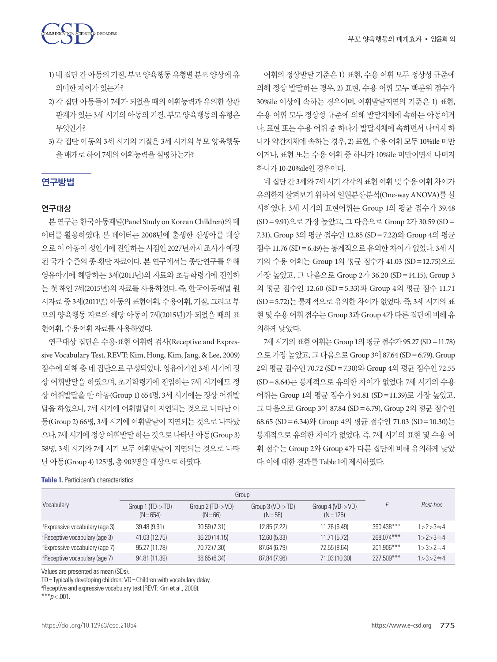

- 1) 네 집단 간 아동의 기질, 부모 양육행동 유형별 분포 양상에 유 의미한차이가있는가?
- 2) 각 집단 아동들이 7세가 되었을 때의 어휘능력과 유의한 상관 관계가 있는 3세 시기의 아동의 기질, 부모 양육행동의 유형은 무엇인가?
- 3) 각 집단 아동의 3세 시기의 기질은 3세 시기의 부모 양육행동 을매개로하여 7세의어휘능력을설명하는가?

# 연구방법

### 연구대상

본 연구는 한국아동패널(Panel Study on Korean Children)의 데 이터를 활용하였다. 본 데이터는 2008년에 출생한 신생아를 대상 으로 이 아동이 성인기에 진입하는 시점인 2027년까지 조사가 예정 된 국가 수준의 종·횡단 자료이다. 본 연구에서는 종단연구를 위해 영유아기에 해당하는 3세(2011년)의 자료와 초등학령기에 진입하 는 첫 해인 7세(2015년)의 자료를 사용하였다. 즉, 한국아동패널 원 시자료 중 3세(2011년) 아동의 표현어휘, 수용어휘, 기질, 그리고 부 모의 양육행동 자료와 해당 아동이 7세(2015년)가 되었을 때의 표 현어휘, 수용어휘 자료를 사용하였다.

연구대상 집단은 수용·표현 어휘력 검사(Receptive and Expressive Vocabulary Test, REVT; Kim, Hong, Kim, Jang, & Lee, 2009) 점수에 의해 총 네 집단으로 구성되었다. 영유아기인 3세 시기에 정 상 어휘발달을 하였으며, 초기학령기에 진입하는 7세 시기에도 정 상 어휘발달을 한 아동(Group 1) 654명, 3세 시기에는 정상 어휘발 달을 하였으나, 7세 시기에 어휘발달이 지연되는 것으로 나타난 아 동(Group 2) 66명, 3세 시기에 어휘발달이 지연되는 것으로 나타났 으나, 7세 시기에 정상 어휘발달 하는 것으로 나타난 아동(Group 3) 58명, 3세 시기와 7세 시기 모두 어휘발달이 지연되는 것으로 나타 난아동(Group 4) 125명, 총 903명을대상으로하였다.

**Table 1.** Participant's characteristics

어휘의 정상발달 기준은 1)표현, 수용 어휘 모두 정상성 규준에 의해 정상 발달하는 경우, 2) 표현, 수용 어휘 모두 백분위 점수가 30%ile 이상에 속하는 경우이며, 어휘발달지연의 기준은 1) 표현, 수용 어휘 모두 정상성 규준에 의해 발달지체에 속하는 아동이거 나, 표현 또는 수용 어휘 중 하나가 발달지체에 속하면서 나머지 하 나가 약간지체에 속하는 경우, 2) 표현, 수용 어휘 모두 10%ile 미만 이거나, 표현 또는 수용 어휘 중 하나가 10%ile 미만이면서 나머지 하나가 10-20%ile인경우이다.

네 집단 간 3세와 7세 시기 각각의 표현 어휘 및 수용 어휘 차이가 유의한지 살펴보기 위하여 일원분산분석(One-way ANOVA)를 실 시하였다. 3세 시기의 표현어휘는 Group 1의 평균 점수가 39.48 (SD=9.91)으로 가장 높았고, 그 다음으로 Group 2가 30.59 (SD= 7.31), Group 3의 평균 점수인 12.85 (SD=7.22)와 Group 4의 평균 점수 11.76 (SD=6.49)는 통계적으로 유의한 차이가 없었다. 3세 시 기의 수용 어휘는 Group 1의 평균 점수가 41.03 (SD=12.75)으로 가장 높았고, 그 다음으로 Group 2가 36.20 (SD=14.15), Group 3 의 평균 점수인 12.60 (SD =5.33)과 Group 4의 평균 점수 11.71 (SD=5.72)는 통계적으로 유의한 차이가 없었다. 즉, 3세 시기의 표 현 및 수용 어휘 점수는 Group 3과 Group 4가 다른 집단에 비해 유 의하게 낮았다.

7세 시기의 표현 어휘는 Group 1의 평균 점수가 95.27 (SD = 11.78) 으로 가장 높았고, 그 다음으로 Group 3이 87.64 (SD=6.79), Group 2의 평균 점수인 70.72 (SD=7.30)와 Group 4의 평균 점수인 72.55 (SD=8.64)는 통계적으로 유의한 차이가 없었다. 7세 시기의 수용 어휘는 Group 1의 평균 점수가 94.81 (SD=11.39)로 가장 높았고, 그 다음으로 Group 3이 87.84 (SD=6.79), Group 2의 평균 점수인 68.65 (SD=6.34)와 Group 4의 평균 점수인 71.03 (SD=10.30)는 통계적으로 유의한 차이가 없었다. 즉, 7세 시기의 표현 및 수용 어 휘 점수는 Group 2와 Group 4가 다른 집단에 비해 유의하게 낮았 다. 이에대한결과를 Table 1에제시하였다.

|                                            | Group                                 |                                 |                                  |                                   |              |                 |
|--------------------------------------------|---------------------------------------|---------------------------------|----------------------------------|-----------------------------------|--------------|-----------------|
| Vocabulary                                 | Group $1$ (TD- $>$ TD)<br>$(N = 654)$ | Group $2(TD->VD)$<br>$(N = 66)$ | Group $3 (VD->TD)$<br>$(N = 58)$ | Group $4 (VD->VD)$<br>$(N = 125)$ |              | Post-hoc        |
| <sup>a</sup> Expressive vocabulary (age 3) | 39.48 (9.91)                          | 30.59(7.31)                     | 12.85 (7.22)                     | 11.76 (6.49)                      | 390.438***   | $1 > 2 > 3 = 4$ |
| <sup>a</sup> Receptive vocabulary (age 3)  | 41.03 (12.75)                         | 36.20 (14.15)                   | 12.60 (5.33)                     | 11.71(5.72)                       | 268.074***   | $1 > 2 > 3 = 4$ |
| <sup>a</sup> Expressive vocabulary (age 7) | 95.27 (11.78)                         | 70.72 (7.30)                    | 87.64 (6.79)                     | 72.55 (8.64)                      | $201.906***$ | $1 > 3 > 2 = 4$ |
| <sup>a</sup> Receptive vocabulary (age 7)  | 94.81 (11.39)                         | 68.65 (6.34)                    | 87.84 (7.96)                     | 71.03 (10.30)                     | $227.509***$ | $1 > 3 > 2 = 4$ |

Values are presented as mean (SDs).

TD= Typically developing children; VD= Children with vocabulary delay.

a Receptive and expressive vocabulary test (REVT; Kim et al., 2009).

\*\*\**p* < .001.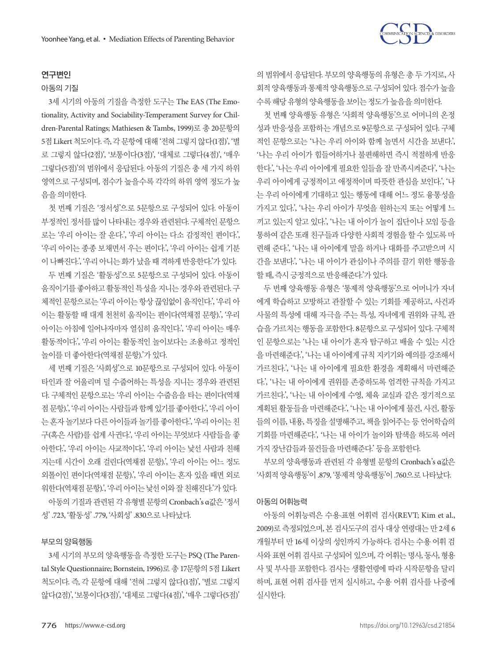### 연구변인

### 아동의 기질

3세 시기의 아동의 기질을 측정한 도구는 The EAS (The Emotionality, Activity and Sociability-Temperament Survey for Children-Parental Ratings; Mathiesen & Tambs, 1999)로 총 20문항의 5점 Likert 척도이다. 즉, 각 문항에 대해 '전혀 그렇지 않다(1점)', '별 로 그렇지 않다(2점)', '보통이다(3점)', '대체로 그렇다(4점)', '매우 그렇다(5점)'의 범위에서 응답된다. 아동의 기질은 총 세 가지 하위 영역으로 구성되며, 점수가 높을수록 각각의 하위 영역 정도가 높 음을의미한다.

첫 번째 기질은 '정서성'으로 5문항으로 구성되어 있다. 아동이 부정적인 정서를 많이 나타내는 경우와 관련된다. 구체적인 문항으 로는 '우리 아이는 잘 운다.', '우리 아이는 다소 감정적인 편이다.', '우리 아이는 종종 보채면서 우는 편이다.', '우리 아이는 쉽게 기분 이 나빠진다.', '우리 아니는 화가 났을 때 격하게 반응한다.'가 있다.

두 번째 기질은 '활동성'으로 5문항으로 구성되어 있다. 아동이 움직이기를좋아하고활동적인특성을지니는경우와관련된다. 구 체적인 문항으로는 '우리 아이는 항상 끊임없이 움직인다.', '우리 아 이는 활동할 때 대게 천천히 움직이는 편이다(역채점 문항).', '우리 아이는 아침에 일어나자마자 열심히 움직인다.', '우리 아이는 매우 활동적이다.', '우리 아이는 활동적인 놀이보다는 조용하고 정적인 놀이를 더 좋아하다(역채점 문항).'가 있다.

세 번째 기질은 '사회성'으로 10문항으로 구성되어 있다. 아동이 타인과 잘 어울리며 덜 수줍어하는 특성을 지니는 경우와 관련된 다. 구체적인 문항으로는 '우리 아이는 수줍음을 타는 편이다(역채 점문항).', '우리아이는사람들과함께있기를좋아한다.', '우리아이 는 혼자 놀기보다 다른 아이들과 놀기를 좋아한다.', '우리 아이는 친 구(혹은 사람)를 쉽게 사귄다.', '우리 아이는 무엇보다 사람들을 좋 아한다.', '우리 아이는 사교적이다.', '우리 아이는 낯선 사람과 친해 지는데 시간이 오래 걸린다(역채점 문항).', '우리 아이는 어느 정도 외톨이인 편이다(역채점 문항).', '우리 아이는 혼자 있을 때면 외로 워한다(역채점문항).', '우리아이는낯선이와잘친해진다.'가있다.

아동의 기질과 관련된 각 유형별 문항의 Cronbach's α값은 '정서 성' .723, '활동성' .779, '사회성' .830으로나타났다.

### 부모의 양육행동

3세 시기의 부모의 양육행동을 측정한 도구는 PSQ (The Parental Style Questionnaire; Bornstein, 1996)로 총 17문항의 5점 Likert 척도이다. 즉, 각 문항에 대해 '전혀 그렇지 않다(1점)', '별로 그렇지 않다(2점)', '보통이다(3점)', '대체로그렇다(4점)', '매우그렇다(5점)'

의 범위에서 응답된다. 부모의 양육행동의 유형은 총 두 가지로, 사 회적 양육행동제적 양육행동으로 구성되어 있다. 점수가 높을 수록해당유형의양육행동을보이는정도가높음을의미한다.

첫 번째 양육행동 유형은 '사회적 양육행동'으로 어머니의 온정 성과 반응성을 포함하는 개념으로 9문항으로 구성되어 있다. 구체 적인 문항으로는 '나는 우리 아이와 함께 놀면서 시간을 보낸다.', '나는 우리 아이가 힘들어하거나 불편해하면 즉시 적절하게 반응 한다.', '나는 우리 아이에게 필요한 일들을 잘 만족시켜준다', '나는 우리 아이에게 긍정적이고 애정적이며 따뜻한 관심을 보인다.', '나 는 우리 아이에게 기대하고 있는 행동에 대해 어느 정도 융통성을 가지고 있다.', '나는 우리 아이가 무엇을 원하는지 또는 어떻게 느 끼고 있는지 알고 있다.', '나는 내 아이가 놀이 집단이나 모임 등을 통하여 같은 또래 친구들과 다양한 사회적 경험을 할 수 있도록 마 련해 준다.', '나는 내 아이에게 말을 하거나 대화를 주고받으며 시 간을 보낸다.', '나는 내 아이가 관심이나 주의를 끌기 위한 행동을 할 때, 즉시 긍정적으로 반응해준다.'가 있다.

두 번째 양육행동 유형은 '통제적 양육행동'으로 어머니가 자녀 에게 학습하고 모방하고 관찰할 수 있는 기회를 제공하고, 사건과 사물의 특성에 대해 자극을 주는 특성, 자녀에게 권위와 규칙, 관 습을 가르치는 행동을 포함한다. 8문항으로 구성되어 있다. 구체적 인 문항으로는 '나는 내 아이가 혼자 탐구하고 배울 수 있는 시간 을 마련해준다.', '나는 내 아이에게 규칙 지키기와 예의를 강조해서 가르친다.', '나는 내 아이에게 필요한 환경을 계획해서 마련해준 다.', '나는 내 아이에게 권위를 존중하도록 엄격한 규칙을 가지고 가르친다.', '나는 내 아이에게 수영, 체육 교실과 같은 정기적으로 계획된 활동들을 마련해준다.', '나는 내 아이에게 물건, 사건, 활동 들의 이름, 내용, 특징을 설명해주고, 책을 읽어주는 등 언어학습의 기회를 마련해준다.', '나는 내 아이가 놀이와 탐색을 하도록 여러 가지장난감들과물건들을마련해준다.'등을포함한다.

부모의 양육행동과 관련된 각 유형별 문항의 Cronbach's α값은 '사회적 양육행동'이 .879, '통제적 양육행동'이 .760으로 나타났다.

### 아동의 어휘능력

아동의 어휘능력은 수용·표현 어휘력 검사(REVT; Kim et al., 2009)로 측정되었으며, 본 검사도구의 검사 대상 연령대는 만 2세 6 개월부터 만 16세 이상의 성인까지 가능하다. 검사는 수용 어휘 검 사와 표현 어휘 검사로 구성되어 있으며, 각 어휘는 명사, 동사, 형용 사 및 부사를 포함한다. 검사는 생활연령에 따라 시작문항을 달리 하며, 표현 어휘 검사를 먼저 실시하고, 수용 어휘 검사를 나중에 실시한다.

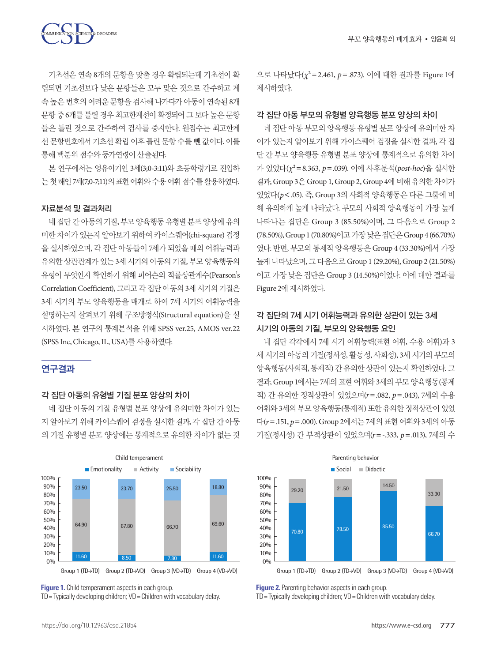

기초선은 연속 8개의 문항을 맞출 경우 확립되는데 기초선이 확 립되면 기초선보다 낮은 문항들은 모두 맞은 것으로 간주하고 계 속 높은 번호의 어려운 문항을 검사해 나가다가 아동이 연속된 8개 문항 중 6개를 틀릴 경우 최고한계선이 확정되어 그 보다 높은 문항 들은 틀린 것으로 간주하여 검사를 중지한다. 원점수는 최고한계 선 문항번호에서 기초선 확립 이후 틀린 문항 수를 뺀 값이다. 이를 통해백분위점수와등가연령이산출된다.

본 연구에서는 영유아기인 3세(3;0-3:11)와 초등학령기로 진입하 는첫해인 7세(7;0-7;11)의표현어휘와수용어휘점수를활용하였다.

### 자료분석 및 결과처리

네 집단 간 아동의 기질, 부모 양육행동 유형별 분포 양상에 유의 미한 차이가 있는지 알아보기 위하여 카이스퀘어(chi-square) 검정 을 실시하였으며, 각 집단 아동들이 7세가 되었을 때의 어휘능력과 유의한 상관관계가 있는 3세 시기의 아동의 기질, 부모 양육행동의 유형이 무엇인지 확인하기 위해 피어슨의 적률상관계수(Pearson's Correlation Coefficient), 그리고 각 집단 아동의 3세 시기의 기질은 3세 시기의 부모 양육행동을 매개로 하여 7세 시기의 어휘능력을 설명하는지 살펴보기 위해 구조방정식(Structural equation)을 실 시하였다. 본 연구의 통계분석을 위해 SPSS ver.25, AMOS ver.22 (SPSS Inc, Chicago, IL, USA)를사용하였다.

### 연구결과

### 각 집단 아동의 유형별 기질 분포 양상의 차이

네 집단 아동의 기질 유형별 분포 양상에 유의미한 차이가 있는 지 알아보기 위해 카이스퀘어 검정을 실시한 결과, 각 집단 간 아동 의 기질 유형별 분포 양상에는 통계적으로 유의한 차이가 없는 것



**Figure 1.** Child temperament aspects in each group.

TD= Typically developing children; VD= Children with vocabulary delay.

으로 나타났다(*χ*²=2.461, *p*=.873). 이에 대한 결과를 Figure 1에 제시하였다.

### 각 집단 아동 부모의 유형별 양육행동 분포 양상의 차이

네 집단 아동 부모의 양육행동 유형별 분포 양상에 유의미한 차 이가 있는지 알아보기 위해 카이스퀘어 검정을 실시한 결과, 각 집 단 간 부모 양육행동 유형별 분포 양상에 통계적으로 유의한 차이 가 있었다(*χ*²=8.363, *p*=.039). 이에 사후분석(*post-hoc*)을 실시한 결과, Group 3은 Group 1, Group 2, Group 4에 비해 유의한 차이가 있었다(*p*<.05). 즉, Group 3의 사회적 양육행동은 다른 그룹에 비 해 유의하게 높게 나타났다. 부모의 사회적 양육행동이 가장 높게 나타나는 집단은 Group 3 (85.50%)이며, 그 다음으로 Group 2 (78.50%), Group 1 (70.80%)이고가장낮은집단은 Group 4 (66.70%) 였다. 반면, 부모의 통제적 양육행동은 Group 4 (33.30%)에서 가장 높게 나타났으며, 그 다음으로 Group 1 (29.20%), Group 2 (21.50%) 이고 가장 낮은 집단은 Group 3 (14.50%)이었다. 이에 대한 결과를 Figure 2에제시하였다.

# 각 집단의 7세 시기 어휘능력과 유의한 상관이 있는 3세 시기의 아동의 기질, 부모의 양육행동 요인

네 집단 각각에서 7세 시기 어휘능력(표현 어휘, 수용 어휘)과 3 세 시기의 아동의 기질(정서성, 활동성, 사회성), 3세 시기의 부모의 양육행동(사회적, 통제적) 간 유의한 상관이 있는지 확인하였다. 그 결과, Group 1에서는 7세의 표현 어휘와 3세의 부모 양육행동(통제 적) 간 유의한 정적상관이 있었으며(*r*=.082, *p*=.043), 7세의 수용 어휘와 3세의 부모 양육행동(통제적) 또한 유의한 정적상관이 있었 다(*r*=.151, *p*=.000). Group 2에서는 7세의 표현 어휘와 3세의 아동 기질(정서성) 간 부적상관이 있었으며(*r*=-.333, *p*=.013), 7세의 수



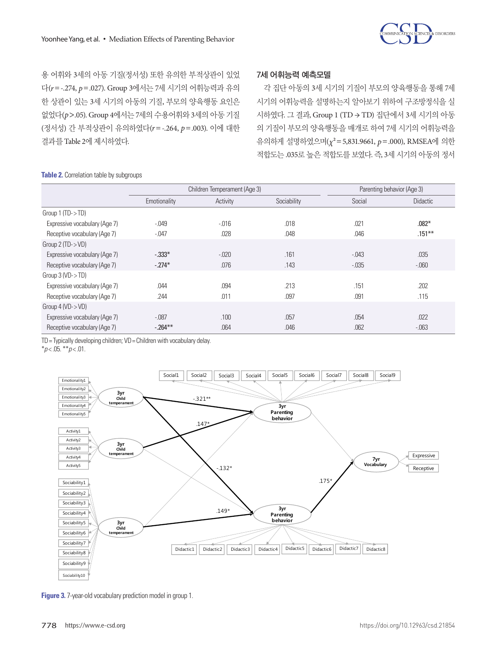

용 어휘와 3세의 아동 기질(정서성) 또한 유의한 부적상관이 있었 다(*r*=-.274, *p*=.027). Group 3에서는 7세 시기의 어휘능력과 유의 한 상관이 있는 3세 시기의 아동의 기질, 부모의 양육행동 요인은 없었다(*p*>.05). Group 4에서는 7세의 수용어휘와 3세의 아동 기질 (정서성) 간 부적상관이 유의하였다(*r*=-.264, *p*=.003). 이에 대한 결과를 Table 2에 제시하였다.

### 7세 어휘능력 예측모델

각 집단 아동의 3세 시기의 기질이 부모의 양육행동을 통해 7세 시기의 어휘능력을 설명하는지 알아보기 위하여 구조방정식을 실 시하였다. 그 결과, Group 1 (TD → TD) 집단에서 3세 시기의 아동 의 기질이 부모의 양육행동을 매개로 하여 7세 시기의 어휘능력을 유의하게 설명하였으며(*χ*²=5,831.9661, *p*=.000), RMSEA에 의한 적합도는 .035로 높은 적합도를 보였다. 즉, 3세 시기의 아동의 정서

### **Table 2.** Correlation table by subgroups

|                               | Children Temperament (Age 3) |          |             | Parenting behavior (Age 3) |           |
|-------------------------------|------------------------------|----------|-------------|----------------------------|-----------|
|                               | Emotionality                 | Activity | Sociability | Social                     | Didactic  |
| Group 1 (TD->TD)              |                              |          |             |                            |           |
| Expressive vocabulary (Age 7) | $-.049$                      | $-0.016$ | .018        | .021                       | $.082*$   |
| Receptive vocabulary (Age 7)  | $-.047$                      | .028     | .048        | .046                       | $.151***$ |
| Group $2(TD->VD))$            |                              |          |             |                            |           |
| Expressive vocabulary (Age 7) | $-.333*$                     | $-.020$  | .161        | $-0.043$                   | .035      |
| Receptive vocabulary (Age 7)  | $-274*$                      | .076     | .143        | $-0.035$                   | $-060$    |
| Group $3 (VD->TD)$            |                              |          |             |                            |           |
| Expressive vocabulary (Age 7) | .044                         | .094     | .213        | .151                       | .202      |
| Receptive vocabulary (Age 7)  | .244                         | .011     | .097        | .091                       | .115      |
| Group $4 (VD->VD)$            |                              |          |             |                            |           |
| Expressive vocabulary (Age 7) | $-.087$                      | .100     | .057        | .054                       | .022      |
| Receptive vocabulary (Age 7)  | $-.264***$                   | .064     | .046        | .062                       | $-063$    |

TD= Typically developing children; VD= Children with vocabulary delay.

\**p* < .05. \*\**p* < .01.



**Figure 3.** 7-year-old vocabulary prediction model in group 1.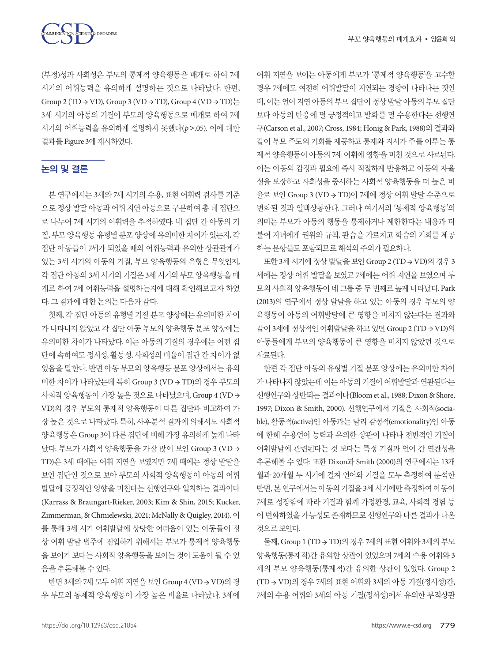

(부정)성과 사회성은 부모의 통제적 양육행동을 매개로 하여 7세 시기의 어휘능력을 유의하게 설명하는 것으로 나타났다. 한편, Group 2 (TD  $\rightarrow$  VD), Group 3 (VD  $\rightarrow$  TD), Group 4 (VD  $\rightarrow$  TD) $\rightleftharpoons$ 3세 시기의 아동의 기질이 부모의 양육행동으로 매개로 하여 7세 시기의 어휘능력을 유의하게 설명하지 못했다(*p*>.05). 이에 대한 결과를 Figure 3에제시하였다.

# 논의 및 결론

본 연구에서는 3세와 7세 시기의 수용, 표현 어휘력 검사를 기준 으로 정상 발달 아동과 어휘 지연 아동으로 구분하여 총 네 집단으 로 나누어 7세 시기의 어휘력을 추적하였다. 네 집단 간 아동의 기 질, 부모 양육행동 유형별 분포 양상에 유의미한 차이가 있는지, 각 집단 아동들이 7세가 되었을 때의 어휘능력과 유의한 상관관계가 있는 3세 시기의 아동의 기질, 부모 양육행동의 유형은 무엇인지, 각 집단 아동의 3세 시기의 기질은 3세 시기의 부모 양육행동을 매 개로 하여 7세 어휘능력을 설명하는지에 대해 확인해보고자 하였 다. 그결과에대한논의는다음과같다.

첫째, 각 집단 아동의 유형별 기질 분포 양상에는 유의미한 차이 가 나타나지 않았고 각 집단 아동 부모의 양육행동 분포 양상에는 유의미한 차이가 나타났다. 이는 아동의 기질의 경우에는 어떤 집 단에 속하여도 정서성, 활동성, 사회성의 비율이 집단 간 차이가 없 었음을 말한다. 반면 아동 부모의 양육행동 분포 양상에서는 유의 미한 차이가 나타났는데 특히 Group 3 (VD → TD)의 경우 부모의 사회적 양육행동이 가장 높은 것으로 나타났으며, Group 4 (VD → VD)의 경우 부모의 통제적 양육행동이 다른 집단과 비교하여 가 장 높은 것으로 나타났다. 특히, 사후분석 결과에 의해서도 사회적 양육행동은 Group 3이 다른 집단에 비해 가장 유의하게 높게 나타 났다. 부모가 사회적 양육행동을 가장 많이 보인 Group 3 (VD → TD)은 3세 때에는 어휘 지연을 보였지만 7세 때에는 정상 발달을 보인 집단인 것으로 보아 부모의 사회적 양육행동이 아동의 어휘 발달에 긍정적인 영향을 미친다는 선행연구와 일치하는 결과이다 (Karrass & Braungart-Rieker, 2003; Kim & Shin, 2015; Kucker, Zimmerman, & Chmielewski, 2021; McNally & Quigley, 2014). 이 를 통해 3세 시기 어휘발달에 상당한 어려움이 있는 아동들이 정 상 어휘 발달 범주에 진입하기 위해서는 부모가 통제적 양육행동 을 보이기 보다는 사회적 양육행동을 보이는 것이 도움이 될 수 있 음을추론해볼수있다.

반면 3세와 7세 모두 어휘 지연을 보인 Group 4 (VD → VD)의 경 우 부모의 통제적 양육행동이 가장 높은 비율로 나타났다. 3세에

어휘 지연을 보이는 아동에게 부모가 '통제적 양육행동'을 고수할 경우 7세에도 여전히 어휘발달이 지연되는 경향이 나타나는 것인 데, 이는 언어 지연 아동의 부모 집단이 정상 발달 아동의 부모 집단 보다 아동의 반응에 덜 긍정적이고 발화를 덜 수용한다는 선행연 구(Carson et al., 2007; Cross, 1984; Honig & Park, 1988)의 결과와 같이 부모 주도의 기회를 제공하고 통제와 지시가 주를 이루는 통 제적 양육행동이 아동의 7세 어휘에 영향을 미친 것으로 사료된다. 이는 아동의 감정과 필요에 즉시 적절하게 반응하고 아동의 자율 성을 보장하고 사회성을 중시하는 사회적 양육행동을 더 높은 비 율로 보인 Group 3 (VD → TD)이 7세에 정상 어휘 발달 수준으로 변화된 것과 일맥상통한다. 그러나 여기서의 '통제적 양육행동'의 의미는 부모가 아동의 행동을 통제하거나 제한한다는 내용과 더 불어 자녀에게 권위와 규칙, 관습을 가르치고 학습의 기회를 제공 하는문항들도포함되므로해석의주의가필요하다.

또한 3세 시기에 정상 발달을 보인 Group 2 (TD → VD)의 경우 3 세에는 정상 어휘 발달을 보였고 7세에는 어휘 지연을 보였으며 부 모의 사회적 양육행동이 네 그룹 중 두 번째로 높게 나타났다. Park (2013)의 연구에서 정상 발달을 하고 있는 아동의 경우 부모의 양 육행동이 아동의 어휘발달에 큰 영향을 미치지 않는다는 결과와 같이 3세에 정상적인 어휘발달을 하고 있던 Group 2 (TD → VD)의 아동들에게 부모의 양육행동이 큰 영향을 미치지 않았던 것으로 사료되다.

한편 각 집단 아동의 유형별 기질 분포 양상에는 유의미한 차이 가 나타나지 않았는데 이는 아동의 기질이 어휘발달과 연관된다는 선행연구와 상반되는 결과이다(Bloom et al., 1988; Dixon & Shore, 1997; Dixon & Smith, 2000). 선행연구에서 기질은 사회적(sociable), 활동적(active)인 아동과는 달리 감정적(emotionality)인 아동 에 한해 수용언어 능력과 유의한 상관이 나타나 전반적인 기질이 어휘발달에 관련된다는 것 보다는 특정 기질과 언어 간 연관성을 추론해볼 수 있다. 또한 Dixon과 Smith (2000)의 연구에서는 13개 월과 20개월 두 시기에 걸쳐 언어와 기질을 모두 측정하여 분석한 반면, 본 연구에서는 아동의 기질을 3세 시기에만 측정하여 아동이 7세로 성장함에 따라 기질과 함께 가정환경, 교육, 사회적 경험 등 이 변화하였을 가능성도 존재하므로 선행연구와 다른 결과가 나온 것으로보인다.

둘째, Group 1 (TD → TD)의 경우 7세의 표현 어휘와 3세의 부모 양육행동(통제적)간 유의한 상관이 있었으며 7세의 수용 어휘와 3 세의 부모 양육행동(통제적)간 유의한 상관이 있었다. Group 2 (TD → VD)의 경우 7세의 표현 어휘와 3세의 아동 기질(정서성)간, 7세의 수용 어휘와 3세의 아동 기질(정서성)에서 유의한 부적상관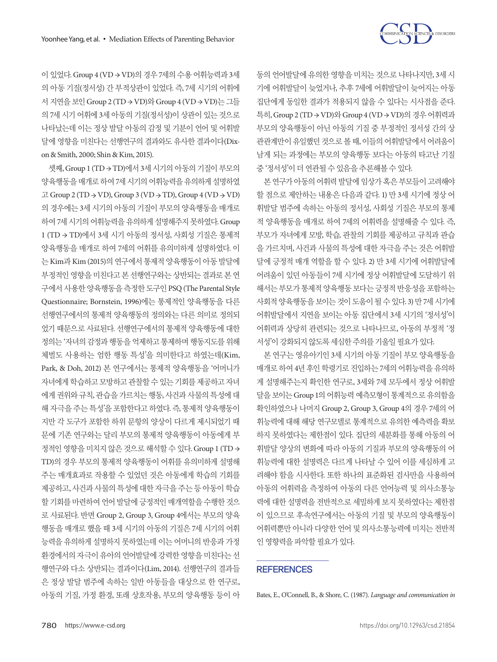

이 있었다. Group 4 (VD → VD)의 경우 7세의 수용 어휘능력과 3세 의 아동 기질(정서성) 간 부적상관이 있었다. 즉, 7세 시기의 어휘에 서 지연을 보인 Group 2 (TD → VD)와 Group 4 (VD → VD)는 그들 의 7세 시기 어휘에 3세 아동의 기질(정서성)이 상관이 있는 것으로 나타났는데 이는 정상 발달 아동의 감정 및 기분이 언어 및 어휘발 달에 영향을 미친다는 선행연구의 결과와도 유사한 결과이다(Dixon & Smith, 2000; Shin & Kim, 2015).

셋째, Group 1 (TD → TD)에서 3세 시기의 아동의 기질이 부모의 양육행동을 매개로 하여 7세 시기의 어휘능력을 유의하게 설명하였  $\Box$  Group 2 (TD  $\rightarrow$  VD), Group 3 (VD  $\rightarrow$  TD), Group 4 (VD  $\rightarrow$  VD) 의 경우에는 3세 시기의 아동의 기질이 부모의 양육행동을 매개로 하여 7세 시기의 어휘능력을 유의하게 설명해주지 못하였다. Group 1 (TD → TD)에서 3세 시기 아동의 정서성, 사회성 기질은 통제적 양육행동을 매개로 하여 7세의 어휘를 유의미하게 설명하였다. 이 는 Kim과 Kim (2015)의 연구에서 통제적 양육행동이 아동 발달에 부정적인 영향을 미친다고 본 선행연구와는 상반되는 결과로 본 연 구에서 사용한 양육행동을 측정한 도구인 PSQ (The Parental Style Questionnaire; Bornstein, 1996)에는 통제적인 양육행동을 다른 선행연구에서의 통제적 양육행동의 정의와는 다른 의미로 정의되 었기 때문으로 사료된다. 선행연구에서의 통제적 양육행동에 대한 정의는 '자녀의 감정과 행동을 억제하고 통제하며 행동지도를 위해 체벌도 사용하는 엄한 행동 특성'을 의미한다고 하였는데(Kim, Park, & Doh, 2012) 본 연구에서는 통제적 양육행동을 '어머니가 자녀에게학습하고모방하고관찰할수있는기회를제공하고자녀 에게 권위와 규칙, 관습을 가르치는 행동, 사건과 사물의 특성에 대 해 자극을 주는 특성'을 포함한다고 하였다. 즉, 통제적 양육행동이 지만 각 도구가 포함한 하위 문항의 양상이 다르게 제시되었기 때 문에 기존 연구와는 달리 부모의 통제적 양육행동이 아동에게 부 정적인 영향을 미치지 않은 것으로 해석할 수 있다. Group 1 (TD → TD)의 경우 부모의 통제적 양육행동이 어휘를 유의미하게 설명해 주는 매개효과로 작용할 수 있었던 것은 아동에게 학습의 기회를 제공하고, 사건과 사물의 특성에 대한 자극을 주는 등 아동이 학습 할 기회를 마련하여 언어 발달에 긍정적인 매개역할을 수행한 것으 로 사료된다. 반면 Group 2, Group 3, Group 4에서는 부모의 양육 행동을 매개로 했을 때 3세 시기의 아동의 기질은 7세 시기의 어휘 능력을 유의하게 설명하지 못하였는데 이는 어머니의 반응과 가정 환경에서의 자극이유아의 언어발달에강력한영향을미친다는 선 행연구와 다소 상반되는 결과이다(Lim, 2014). 선행연구의 결과들 은 정상 발달 범주에 속하는 일반 아동들을 대상으로 한 연구로, 아동의 기질, 가정 환경, 또래 상호작용, 부모의 양육행동 등이 아 동의 언어발달에 유의한 영향을 미치는 것으로 나타나지만, 3세 시 기에 어휘발달이 늦었거나, 추후 7세에 어휘발달이 늦어지는 아동 집단에게 동일한 결과가 적용되지 않을 수 있다는 시사점을 준다. 특히, Group 2 (TD → VD)와 Group 4 (VD → VD)의 경우어휘력과 부모의 양육행동이 아닌 아동의 기질 중 부정적인 정서성 간의 상 관관계만이 유일했던 것으로 볼 때, 이들의 어휘발달에서 어려움이 남게 되는 과정에는 부모의 양육행동 보다는 아동의 타고난 기질 중'정서성'이더연관될수있음을추론해볼수있다.

본 연구가 아동의 어휘력 발달에 임상가 혹은 부모들이 고려해야 할 점으로 제안하는 내용은 다음과 같다. 1) 만 3세 시기에 정상 어 휘발달 범주에 속하는 아동의 정서성, 사회성 기질은 부모의 통제 적 양육행동을 매개로 하여 7세의 어휘력을 설명해줄 수 있다. 즉, 부모가 자녀에게 모방, 학습, 관찰의 기회를 제공하고 규칙과 관습 을 가르치며, 사건과 사물의 특성에 대한 자극을 주는 것은 어휘발 달에 긍정적 매개 역할을 할 수 있다. 2) 만 3세 시기에 어휘발달에 어려움이 있던 아동들이 7세 시기에 정상 어휘발달에 도달하기 위 해서는 부모가 통제적 양육행동 보다는 긍정적 반응성을 포함하는 사회적양육행동을보이는것이도움이될수있다. 3) 만 7세시기에 어휘발달에서 지연을 보이는 아동 집단에서 3세 시기의 '정서성'이 어휘력과 상당히 관련되는 것으로 나타나므로, 아동의 부정적 '정 서성'이강화되지않도록세심한주의를기울일필요가있다.

본 연구는 영유아기인 3세 시기의 아동 기질이 부모 양육행동을 매개로 하여 4년 후인 학령기로 진입하는 7세의 어휘능력을 유의하 게 설명해주는지 확인한 연구로, 3세와 7세 모두에서 정상 어휘발 달을보이는 Group 1의어휘능력예측모형이통계적으로유의함을 확인하였으나 나머지 Group 2, Group 3, Group 4의 경우 7세의 어 휘능력에 대해 해당 연구모델로 통계적으로 유의한 예측력을 확보 하지 못하였다는 제한점이 있다. 집단의 세분화를 통해 아동의 어 휘발달 양상의 변화에 따라 아동의 기질과 부모의 양육행동의 어 휘능력에 대한 설명력은 다르게 나타날 수 있어 이를 세심하게 고 려해야 함을 시사한다. 또한 하나의 표준화된 검사만을 사용하여 아동의 어휘력을 측정하여 아동의 다른 언어능력 및 의사소통능 력에 대한 설명력을 전반적으로 세밀하게 보지 못하였다는 제한점 이 있으므로 후속연구에서는 아동의 기질 및 부모의 양육행동이 어휘력뿐만 아니라 다양한 언어 및 의사소통능력에 미치는 전반적 인영향력을파악할필요가있다.

### **REFERENCES**

Bates, E., O'Connell, B., & Shore, C. (1987). *Language and communication in*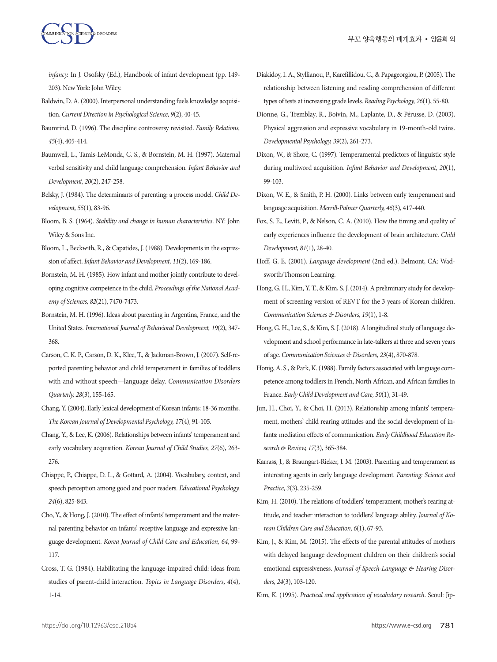

*infancy.* In J. Osofsky (Ed.), Handbook of infant development (pp. 149- 203). New York: John Wiley.

- Baldwin, D. A. (2000). Interpersonal understanding fuels knowledge acquisition. *Current Direction in Psychological Science, 9*(2), 40-45.
- Baumrind, D. (1996). The discipline controversy revisited. *Family Relations, 45*(4), 405-414.
- Baumwell, L., Tamis-LeMonda, C. S., & Bornstein, M. H. (1997). Maternal verbal sensitivity and child language comprehension. *Infant Behavior and Development, 20*(2), 247-258.
- Belsky, J. (1984). The determinants of parenting: a process model. *Child Development, 55*(1), 83-96.
- Bloom, B. S. (1964). *Stability and change in human characteristics*. NY: John Wiley & Sons Inc.
- Bloom, L., Beckwith, R., & Capatides, J. (1988). Developments in the expression of affect. *Infant Behavior and Development, 11*(2), 169-186.
- Bornstein, M. H. (1985). How infant and mother jointly contribute to developing cognitive competence in the child. *Proceedings of the National Academy of Sciences, 82*(21), 7470-7473.
- Bornstein, M. H. (1996). Ideas about parenting in Argentina, France, and the United States. *International Journal of Behavioral Development, 19*(2), 347- 368.
- Carson, C. K. P., Carson, D. K., Klee, T., & Jackman-Brown, J. (2007). Self-reported parenting behavior and child temperament in families of toddlers with and without speech—language delay. *Communication Disorders Quarterly, 28*(3), 155-165.
- Chang, Y. (2004). Early lexical development of Korean infants: 18-36 months. *The Korean Journal of Developmental Psychology, 17*(4), 91-105.
- Chang, Y., & Lee, K. (2006). Relationships between infants' temperament and early vocabulary acquisition. *Korean Journal of Child Studies, 27*(6), 263- 276.
- Chiappe, P., Chiappe, D. L., & Gottard, A. (2004). Vocabulary, context, and speech perception among good and poor readers. *Educational Psychology, 24*(6), 825-843.
- Cho, Y., & Hong, J. (2010). The effect of infants' temperament and the maternal parenting behavior on infants' receptive language and expressive language development. *Korea Journal of Child Care and Education, 64*, 99- 117.
- Cross, T. G. (1984). Habilitating the language-impaired child: ideas from studies of parent-child interaction. *Topics in Language Disorders, 4*(4), 1-14.
- Diakidoy, I. A., Styllianou, P., Karefillidou, C., & Papageorgiou, P. (2005). The relationship between listening and reading comprehension of different types of tests at increasing grade levels. *Reading Psychology, 26*(1), 55-80.
- Dionne, G., Tremblay, R., Boivin, M., Laplante, D., & Pérusse, D. (2003). Physical aggression and expressive vocabulary in 19-month-old twins. *Developmental Psychology, 39*(2), 261-273.
- Dixon, W., & Shore, C. (1997). Temperamental predictors of linguistic style during multiword acquisition. *Infant Behavior and Development, 20*(1), 99-103.
- Dixon, W. E., & Smith, P. H. (2000). Links between early temperament and language acquisition. *Merrill-Palmer Quarterly, 46*(3), 417-440.
- Fox, S. E., Levitt, P., & Nelson, C. A. (2010). How the timing and quality of early experiences influence the development of brain architecture. *Child Development, 81*(1), 28-40.
- Hoff, G. E. (2001). *Language development* (2nd ed.). Belmont, CA: Wadsworth/Thomson Learning.
- Hong, G. H., Kim, Y. T., & Kim, S. J. (2014). A preliminary study for development of screening version of REVT for the 3 years of Korean children. *Communication Sciences & Disorders, 19*(1), 1-8.
- Hong, G. H., Lee, S., & Kim, S. J. (2018). A longitudinal study of language development and school performance in late-talkers at three and seven years of age. *Communication Sciences & Disorders, 23*(4), 870-878.
- Honig, A. S., & Park, K. (1988). Family factors associated with language competence among toddlers in French, North African, and African families in France. *Early Child Development and Care, 50*(1), 31-49.
- Jun, H., Choi, Y., & Choi, H. (2013). Relationship among infants' temperament, mothers' child rearing attitudes and the social development of infants: mediation effects of communication. *Early Childhood Education Research & Review, 17*(3), 365-384.
- Karrass, J., & Braungart-Rieker, J. M. (2003). Parenting and temperament as interesting agents in early language development. *Parenting: Science and Practice, 3*(3), 235-259.
- Kim, H. (2010). The relations of toddlers' temperament, mother's rearing attitude, and teacher interaction to toddlers' language ability. *Journal of Korean Children Care and Education, 6*(1), 67-93.
- Kim, J., & Kim, M. (2015). The effects of the parental attitudes of mothers with delayed language development children on their children's social emotional expressiveness. *Journal of Speech-Language & Hearing Disorders, 24*(3), 103-120.
- Kim, K. (1995). *Practical and application of vocabulary research*. Seoul: Jip-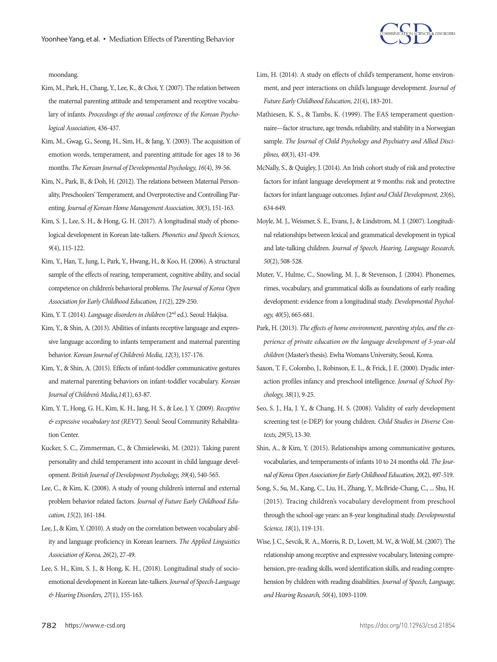

moondang.

- Kim, M., Park, H., Chang, Y., Lee, K., & Choi, Y. (2007). The relation between the maternal parenting attitude and temperament and receptive vocabulary of infants. *Proceedings of the annual conference of the Korean Psychological Association*, 436-437.
- Kim, M., Gwag, G., Seong, H., Sim, H., & Jang, Y. (2003). The acquisition of emotion words, temperament, and parenting attitude for ages 18 to 36 months. *The Korean Journal of Developmental Psychology, 16*(4), 39-56.
- Kim, N., Park, B., & Doh, H. (2012). The relations between Maternal Personality, Preschoolers' Temperament, and Overprotective and Controlling Parenting. *Journal of Korean Home Management Association, 30*(3), 151-163.
- Kim, S. J., Lee, S. H., & Hong, G. H. (2017). A longitudinal study of phonological development in Korean late-talkers. *Phonetics and Speech Sciences, 9*(4), 115-122.
- Kim, Y., Han, T., Jung, I., Park, Y., Hwang, H., & Koo, H. (2006). A structural sample of the effects of rearing, temperament, cognitive ability, and social competence on children's behavioral problems. *The Journal of Korea Open Association for Early Childhood Education, 11*(2), 229-250.
- Kim, Y. T. (2014). *Language disorders in children* (2nd ed.). Seoul: Hakjisa.
- Kim, Y., & Shin, A. (2013). Abilities of infants receptive language and expressive language according to infants temperament and maternal parenting behavior. *Korean Journal of Children's Media, 12*(3), 157-176.
- Kim, Y., & Shin, A. (2015). Effects of infant-toddler communicative gestures and maternal parenting behaviors on infant-toddler vocabulary. *Korean Journal of Children's Media,14*(1), 63-87.
- Kim, Y. T., Hong, G. H., Kim, K. H., Jang, H. S., & Lee, J. Y. (2009). *Receptive & expressive vocabulary test (REVT)*. Seoul: Seoul Community Rehabilitation Center.
- Kucker, S. C., Zimmerman, C., & Chmielewski, M. (2021). Taking parent personality and child temperament into account in child language development. *British Journal of Development Psychology, 39*(4), 540-565.
- Lee, C., & Kim, K. (2008). A study of young children's internal and external problem behavior related factors. *Journal of Future Early Childhood Education, 15*(2), 161-184.
- Lee, J., & Kim, Y. (2010). A study on the correlation between vocabulary ability and language proficiency in Korean learners. *The Applied Linguistics Association of Korea, 26*(2), 27-49.
- Lee, S. H., Kim, S. J., & Hong, K. H., (2018). Longitudinal study of socioemotional development in Korean late-talkers. *Journal of Speech-Language & Hearing Disorders, 27*(1), 155-163.
- Lim, H. (2014). A study on effects of child's temperament, home environment, and peer interactions on child's language development. *Journal of Future Early Childhood Education, 21*(4), 183-201.
- Mathiesen, K. S., & Tambs, K. (1999). The EAS temperament questionnaire—factor structure, age trends, reliability, and stability in a Norwegian sample. *The Journal of Child Psychology and Psychiatry and Allied Disciplines, 40*(3), 431-439.
- McNally, S., & Quigley, J. (2014). An Irish cohort study of risk and protective factors for infant language development at 9 months: risk and protective factors for infant language outcomes. *Infant and Child Development, 23*(6), 634-649.
- Moyle, M. J., Weismer, S. E., Evans, J., & Lindstrom, M. J. (2007). Longitudinal relationships between lexical and grammatical development in typical and late-talking children. *Journal of Speech, Hearing, Language Research, 50*(2), 508-528.
- Muter, V., Hulme, C., Snowling, M. J., & Stevenson, J. (2004). Phonemes, rimes, vocabulary, and grammatical skills as foundations of early reading development: evidence from a longitudinal study. *Developmental Psychology, 40*(5), 665-681.
- Park, H. (2013). *The effects of home environment, parenting styles, and the experience of private education on the language development of 3-year-old children* (Master's thesis). Ewha Womans University, Seoul, Korea.
- Saxon, T. F., Colombo, J., Robinson, E. L., & Frick, J. E. (2000). Dyadic interaction profiles infancy and preschool intelligence. *Journal of School Psychology, 38*(1), 9-25.
- Seo, S. J., Ha, J. Y., & Chang, H. S. (2008). Validity of early development screening test (e-DEP) for young children. *Child Studies in Diverse Contexts, 29*(5), 13-30.
- Shin, A., & Kim, Y. (2015). Relationships among communicative gestures, vocabularies, and temperaments of infants 10 to 24 months old. *The Journal of Korea Open Association for Early Childhood Education, 20*(2), 497-519.
- Song, S., Su, M., Kang, C., Liu, H., Zhang, Y., McBride-Chang, C., ... Shu, H. (2015). Tracing children's vocabulary development from preschool through the school-age years: an 8-year longitudinal study. *Developmental Science, 18*(1), 119-131.
- Wise, J. C., Sevcik, R. A., Morris, R. D., Lovett, M. W., & Wolf, M. (2007). The relationship among receptive and expressive vocabulary, listening comprehension, pre-reading skills, word identification skills, and reading comprehension by children with reading disabilities. *Journal of Speech, Language, and Hearing Research, 50*(4), 1093-1109.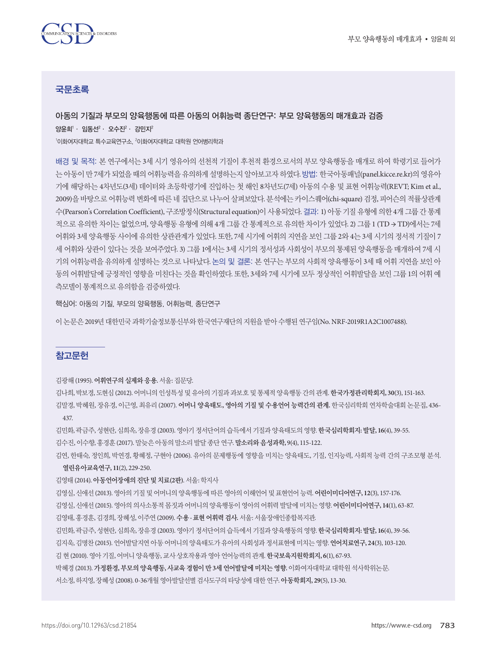

# 국문초록

# 아동의 기질과 부모의 양육행동에 따른 아동의 어휘능력 종단연구: 부모 양육행동의 매개효과 검증 양윤희' · 임동선 $^{\rm 2}$  · 오수진 $^{\rm 2}$  · 강민지 $^{\rm 2}$

<sup>1</sup>이화여자대학교 특수교육연구소, <sup>2</sup>이화여자대학교 대학원 언어병리학과

배경 및 목적: 본 연구에서는 3세 시기 영유아의 선천적 기질이 후천적 환경으로서의 부모 양육행동을 매개로 하여 학령기로 들어가 는 아동이 만 7세가 되었을 때의 어휘능력을 유의하게 설명하는지 알아보고자 하였다. 방법: 한국아동패널(panel.kicce.re.kr)의 영유아 기에 해당하는 4차년도(3세) 데이터와 초등학령기에 진입하는 첫 해인 8차년도(7세) 아동의 수용 및 표현 어휘능력(REVT; Kim et al., 2009)을 바탕으로 어휘능력변화에 따른 네 집단으로나누어살펴보았다. 분석에는 카이스퀘어(chi-square) 검정, 피어슨의 적률상관계 수(Pearson's Correlation Coefficient), 구조방정식(Structural equation)이 사용되었다. 결과: 1) 아동 기질 유형에 의한 4개 그룹 간 통계 적으로 유의한 차이는 없었으며, 양육행동 유형에 의해 4개 그룹 간 통계적으로 유의한 차이가 있었다. 2) 그룹 1 (TD → TD)에서는 7세 어휘와 3세 양육행동 사이에 유의한 상관관계가 있었다. 또한, 7세 시기에 어휘의 지연을 보인 그룹 2와 4는 3세 시기의 정서적 기질이 7 세 어휘와 상관이 있다는 것을 보여주었다. 3) 그룹 1에서는 3세 시기의 정서성과 사회성이 부모의 통제된 양육행동을 매개하여 7세 시 기의 어휘능력을 유의하게 설명하는 것으로 나타났다. 논의 및 결론: 본 연구는 부모의 사회적 양육행동이 3세 때 어휘 지연을 보인 아 동의 어휘발달에 긍정적인 영향을 미친다는 것을 확인하였다. 또한, 3세와 7세 시기에 모두 정상적인 어휘발달을 보인 그룹 1의 어휘 예 측모델이통계적으로유의함을검증하였다.

핵심어: 아동의 기질, 부모의 양육행동, 어휘능력, 종단연구

이논문은 2019년대한민국과학기술정보통신부와한국연구재단의지원을받아수행된연구임(No. NRF-2019R1A2C1007488).

### 참고문헌

김광해 (1995). 어휘연구의실제와응용**.** 서울: 집문당.

김나희, 박보경, 도현심 (2012). 어머니의인성특성및유아의기질과과보호및통제적양육행동간의관계. 한국가정관리학회지**, 30**(3), 151-163. 김말경, 박혜원, 장유경, 이근영, 최유리 (2007). 어머니 양육태도**,** 영아의 기질 및 수용언어 능력간의 관계**.** 한국심리학회 연차학술대회 논문집, 436-

437.

김민화, 곽금주, 성현란, 심희옥, 장유경 (2003). 영아기정서단어의습득에서기질과양육태도의영향. 한국심리학회지**:** 발달**, 16**(4), 39-55. 김수진, 이수향, 홍경훈 (2017). 말늦은아동의말소리발달종단연구. 말소리와음성과학**,** 9(4), 115-122.

김연, 한태숙, 정인희, 박연경, 황혜정, 구현아 (2006). 유아의 문제행동에 영향을 미치는 양육태도, 기질, 인지능력, 사회적 능력 간의 구조모형 분석. 열린유아교육연구**, 11**(2), 229-250.

### 김영태 (2014). 아동언어장애의진단및치료**(2**판**)**. 서울: 학지사

김영실, 신애선 (2013). 영아의기질및어머니의양육행동에따른영아의이해언어및표현언어능력. 어린이미디어연구**, 12**(3), 157-176. 김영실, 신애선 (2015). 영아의의사소통적몸짓과어머니의양육행동이영아의어휘력발달에미치는영향. 어린이미디어연구**, 14**(1), 63-87.

김영태, 홍경훈, 김경희, 장혜성, 이주연 (2009). 수용 **·** 표현어휘력검사**.**서울: 서울장애인종합복지관.

김민화, 곽금주, 성현란, 심희옥, 장유경 (2003). 영아기정서단어의습득에서기질과양육행동의영향. 한국심리학회지**:** 발달**, 16**(4), 39-56.

김지욱, 김명찬 (2015). 언어발달지연아동어머니의양육태도가유아의사회성과정서표현에미치는영향.언어치료연구**, 24**(3), 103-120.

김현 (2010). 영아기질, 어머니양육행동, 교사상호작용과영아언어능력의관계. 한국보육지원학회지**, 6**(1), 67-93.

박혜경 (2013). 가정환경**,** 부모의양육행동**,** 사교육경험이만 **3**세언어발달에미치는영향**.** 이화여자대학교대학원석사학위논문.